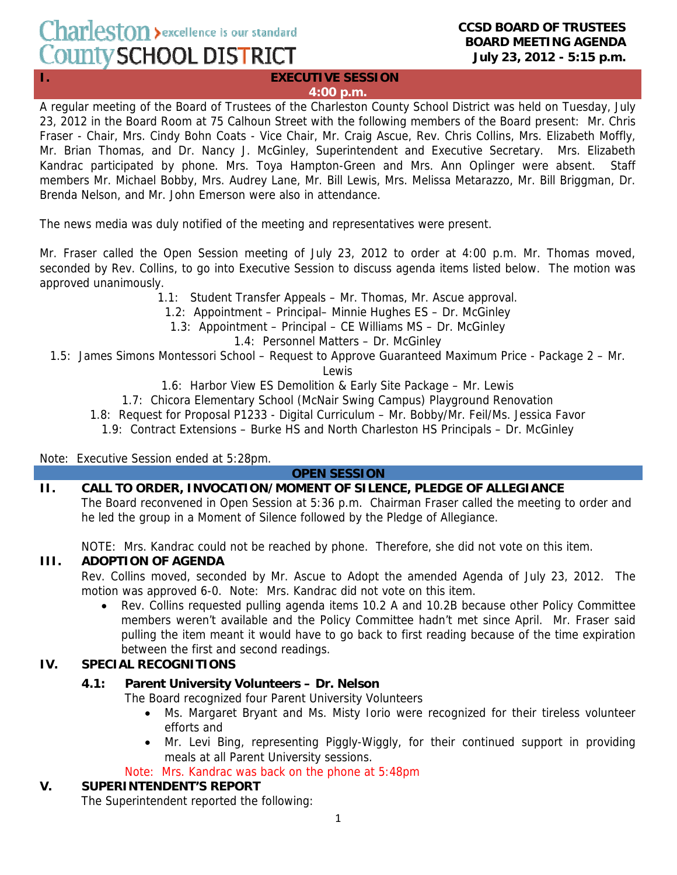# Charleston > excellence is our standard County SCHOOL DISTRICT

#### **CCSD BOARD OF TRUSTEES BOARD MEETING AGENDA July 23, 2012 - 5:15 p.m.**

#### **I.** EXECUTIVE SESSION **4:00 p.m.**

A regular meeting of the Board of Trustees of the Charleston County School District was held on Tuesday, July 23, 2012 in the Board Room at 75 Calhoun Street with the following members of the Board present: Mr. Chris Fraser - Chair, Mrs. Cindy Bohn Coats - Vice Chair, Mr. Craig Ascue, Rev. Chris Collins, Mrs. Elizabeth Moffly, Mr. Brian Thomas, and Dr. Nancy J. McGinley, Superintendent and Executive Secretary. Mrs. Elizabeth Kandrac participated by phone. Mrs. Toya Hampton-Green and Mrs. Ann Oplinger were absent. Staff members Mr. Michael Bobby, Mrs. Audrey Lane, Mr. Bill Lewis, Mrs. Melissa Metarazzo, Mr. Bill Briggman, Dr. Brenda Nelson, and Mr. John Emerson were also in attendance.

The news media was duly notified of the meeting and representatives were present.

Mr. Fraser called the Open Session meeting of July 23, 2012 to order at 4:00 p.m. Mr. Thomas moved, seconded by Rev. Collins, to go into Executive Session to discuss agenda items listed below. The motion was approved unanimously.

1.1: Student Transfer Appeals – Mr. Thomas, Mr. Ascue approval.

1.2: Appointment – Principal– Minnie Hughes ES – Dr. McGinley

1.3: Appointment – Principal – CE Williams MS – Dr. McGinley

1.4: Personnel Matters – Dr. McGinley

1.5: James Simons Montessori School – Request to Approve Guaranteed Maximum Price - Package 2 – Mr.

Lewis

- 1.6: Harbor View ES Demolition & Early Site Package Mr. Lewis
- 1.7: Chicora Elementary School (McNair Swing Campus) Playground Renovation
- 1.8: Request for Proposal P1233 Digital Curriculum Mr. Bobby/Mr. Feil/Ms. Jessica Favor
- 1.9: Contract Extensions Burke HS and North Charleston HS Principals Dr. McGinley

#### Note: Executive Session ended at 5:28pm.

#### **OPEN SESSION**

## **II. CALL TO ORDER, INVOCATION/MOMENT OF SILENCE, PLEDGE OF ALLEGIANCE**

The Board reconvened in Open Session at 5:36 p.m. Chairman Fraser called the meeting to order and he led the group in a Moment of Silence followed by the Pledge of Allegiance.

NOTE: Mrs. Kandrac could not be reached by phone. Therefore, she did not vote on this item.

## **III. ADOPTION OF AGENDA**

Rev. Collins moved, seconded by Mr. Ascue to Adopt the amended Agenda of July 23, 2012. The motion was approved 6-0. Note: Mrs. Kandrac did not vote on this item.

• Rev. Collins requested pulling agenda items 10.2 A and 10.2B because other Policy Committee members weren't available and the Policy Committee hadn't met since April. Mr. Fraser said pulling the item meant it would have to go back to first reading because of the time expiration between the first and second readings.

## **IV. SPECIAL RECOGNITIONS**

## **4.1: Parent University Volunteers – Dr. Nelson**

The Board recognized four Parent University Volunteers

- Ms. Margaret Bryant and Ms. Misty Iorio were recognized for their tireless volunteer efforts and
- Mr. Levi Bing, representing Piggly-Wiggly, for their continued support in providing meals at all Parent University sessions.

Note: Mrs. Kandrac was back on the phone at 5:48pm

## **V. SUPERINTENDENT'S REPORT**

The Superintendent reported the following: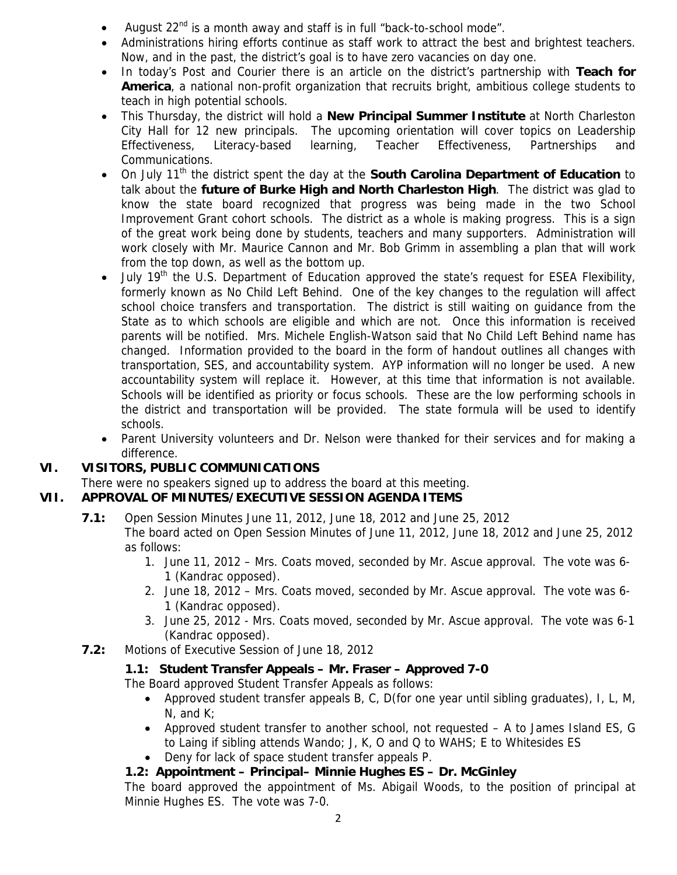- August 22<sup>nd</sup> is a month away and staff is in full "back-to-school mode".
- Administrations hiring efforts continue as staff work to attract the best and brightest teachers. Now, and in the past, the district's goal is to have zero vacancies on day one.
- In today's Post and Courier there is an article on the district's partnership with **Teach for America**, a national non-profit organization that recruits bright, ambitious college students to teach in high potential schools.
- This Thursday, the district will hold a **New Principal Summer Institute** at North Charleston City Hall for 12 new principals. The upcoming orientation will cover topics on Leadership Effectiveness, Literacy-based learning, Teacher Effectiveness, Partnerships and Communications.
- On July 11<sup>th</sup> the district spent the day at the **South Carolina Department of Education** to talk about the **future of Burke High and North Charleston High**. The district was glad to know the state board recognized that progress was being made in the two School Improvement Grant cohort schools. The district as a whole is making progress. This is a sign of the great work being done by students, teachers and many supporters. Administration will work closely with Mr. Maurice Cannon and Mr. Bob Grimm in assembling a plan that will work from the top down, as well as the bottom up.
- July  $19<sup>th</sup>$  the U.S. Department of Education approved the state's request for ESEA Flexibility, formerly known as No Child Left Behind. One of the key changes to the regulation will affect school choice transfers and transportation. The district is still waiting on guidance from the State as to which schools are eligible and which are not. Once this information is received parents will be notified. Mrs. Michele English-Watson said that No Child Left Behind name has changed. Information provided to the board in the form of handout outlines all changes with transportation, SES, and accountability system. AYP information will no longer be used. A new accountability system will replace it. However, at this time that information is not available. Schools will be identified as priority or focus schools. These are the low performing schools in the district and transportation will be provided. The state formula will be used to identify schools.
- Parent University volunteers and Dr. Nelson were thanked for their services and for making a difference.

## **VI. VISITORS, PUBLIC COMMUNICATIONS**

There were no speakers signed up to address the board at this meeting.

## **VII. APPROVAL OF MINUTES/EXECUTIVE SESSION AGENDA ITEMS**

 **7.1:** Open Session Minutes June 11, 2012, June 18, 2012 and June 25, 2012

The board acted on Open Session Minutes of June 11, 2012, June 18, 2012 and June 25, 2012 as follows:

- 1. June 11, 2012 Mrs. Coats moved, seconded by Mr. Ascue approval. The vote was 6- 1 (Kandrac opposed).
- 2. June 18, 2012 Mrs. Coats moved, seconded by Mr. Ascue approval. The vote was 6- 1 (Kandrac opposed).
- 3. June 25, 2012 Mrs. Coats moved, seconded by Mr. Ascue approval. The vote was 6-1 (Kandrac opposed).
- **7.2:** Motions of Executive Session of June 18, 2012

## **1.1: Student Transfer Appeals – Mr. Fraser – Approved 7-0**

The Board approved Student Transfer Appeals as follows:

- Approved student transfer appeals B, C, D(for one year until sibling graduates), I, L, M, N, and K;
- Approved student transfer to another school, not requested A to James Island ES, G to Laing if sibling attends Wando; J, K, O and Q to WAHS; E to Whitesides ES
- Deny for lack of space student transfer appeals P.

## **1.2: Appointment – Principal– Minnie Hughes ES – Dr. McGinley**

The board approved the appointment of Ms. Abigail Woods, to the position of principal at Minnie Hughes ES. The vote was 7-0.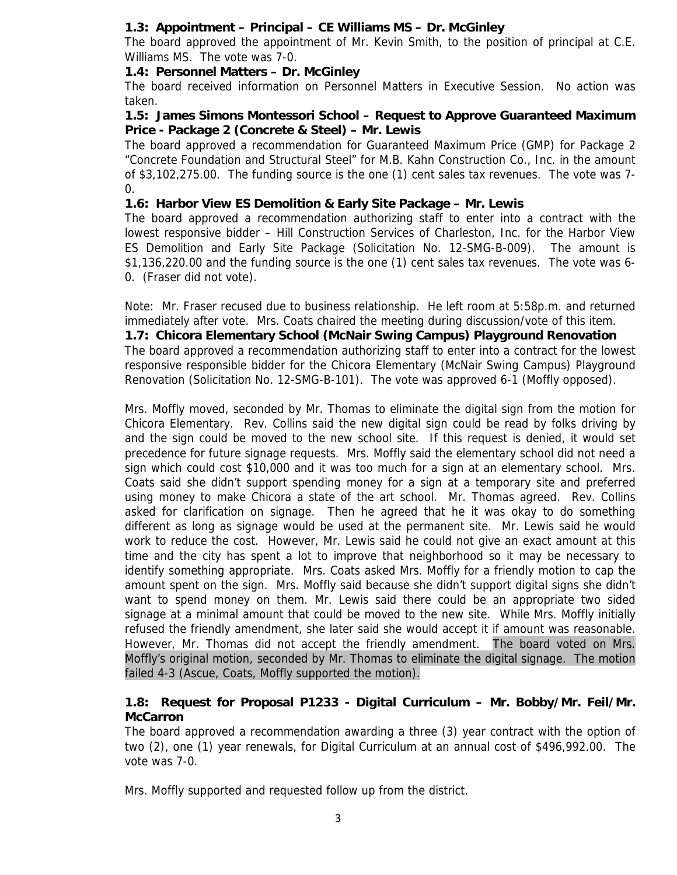## **1.3: Appointment – Principal – CE Williams MS – Dr. McGinley**

The board approved the appointment of Mr. Kevin Smith, to the position of principal at C.E. Williams MS. The vote was 7-0.

## **1.4: Personnel Matters – Dr. McGinley**

The board received information on Personnel Matters in Executive Session. No action was taken.

#### **1.5: James Simons Montessori School – Request to Approve Guaranteed Maximum Price - Package 2 (Concrete & Steel) – Mr. Lewis**

The board approved a recommendation for Guaranteed Maximum Price (GMP) for Package 2 "Concrete Foundation and Structural Steel" for M.B. Kahn Construction Co., Inc. in the amount of \$3,102,275.00. The funding source is the one (1) cent sales tax revenues. The vote was 7-  $\mathbf{0}$ .

## **1.6: Harbor View ES Demolition & Early Site Package – Mr. Lewis**

The board approved a recommendation authorizing staff to enter into a contract with the lowest responsive bidder – Hill Construction Services of Charleston, Inc. for the Harbor View ES Demolition and Early Site Package (Solicitation No. 12-SMG-B-009). The amount is \$1,136,220.00 and the funding source is the one (1) cent sales tax revenues. The vote was 6- 0. (Fraser did not vote).

Note: Mr. Fraser recused due to business relationship. He left room at 5:58p.m. and returned immediately after vote. Mrs. Coats chaired the meeting during discussion/vote of this item.

**1.7: Chicora Elementary School (McNair Swing Campus) Playground Renovation**  The board approved a recommendation authorizing staff to enter into a contract for the lowest responsive responsible bidder for the Chicora Elementary (McNair Swing Campus) Playground Renovation (Solicitation No. 12-SMG-B-101). The vote was approved 6-1 (Moffly opposed).

Mrs. Moffly moved, seconded by Mr. Thomas to eliminate the digital sign from the motion for Chicora Elementary. Rev. Collins said the new digital sign could be read by folks driving by and the sign could be moved to the new school site. If this request is denied, it would set precedence for future signage requests. Mrs. Moffly said the elementary school did not need a sign which could cost \$10,000 and it was too much for a sign at an elementary school. Mrs. Coats said she didn't support spending money for a sign at a temporary site and preferred using money to make Chicora a state of the art school. Mr. Thomas agreed. Rev. Collins asked for clarification on signage. Then he agreed that he it was okay to do something different as long as signage would be used at the permanent site. Mr. Lewis said he would work to reduce the cost. However, Mr. Lewis said he could not give an exact amount at this time and the city has spent a lot to improve that neighborhood so it may be necessary to identify something appropriate. Mrs. Coats asked Mrs. Moffly for a friendly motion to cap the amount spent on the sign. Mrs. Moffly said because she didn't support digital signs she didn't want to spend money on them. Mr. Lewis said there could be an appropriate two sided signage at a minimal amount that could be moved to the new site. While Mrs. Moffly initially refused the friendly amendment, she later said she would accept it if amount was reasonable. However, Mr. Thomas did not accept the friendly amendment. The board voted on Mrs. Moffly's original motion, seconded by Mr. Thomas to eliminate the digital signage. The motion failed 4-3 (Ascue, Coats, Moffly supported the motion).

### **1.8: Request for Proposal P1233 - Digital Curriculum – Mr. Bobby/Mr. Feil/Mr. McCarron**

The board approved a recommendation awarding a three (3) year contract with the option of two (2), one (1) year renewals, for Digital Curriculum at an annual cost of \$496,992.00. The vote was 7-0.

Mrs. Moffly supported and requested follow up from the district.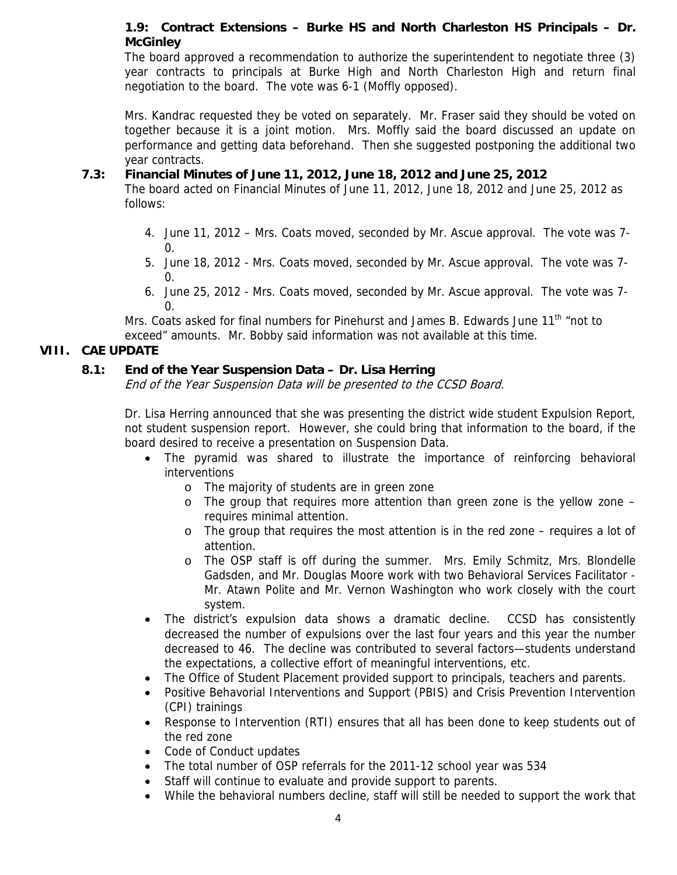## **1.9: Contract Extensions – Burke HS and North Charleston HS Principals – Dr. McGinley**

The board approved a recommendation to authorize the superintendent to negotiate three (3) year contracts to principals at Burke High and North Charleston High and return final negotiation to the board. The vote was 6-1 (Moffly opposed).

Mrs. Kandrac requested they be voted on separately. Mr. Fraser said they should be voted on together because it is a joint motion. Mrs. Moffly said the board discussed an update on performance and getting data beforehand. Then she suggested postponing the additional two year contracts.

#### **7.3: Financial Minutes of June 11, 2012, June 18, 2012 and June 25, 2012**

The board acted on Financial Minutes of June 11, 2012, June 18, 2012 and June 25, 2012 as follows:

- 4. June 11, 2012 Mrs. Coats moved, seconded by Mr. Ascue approval. The vote was 7-  $\Omega$ .
- 5. June 18, 2012 Mrs. Coats moved, seconded by Mr. Ascue approval. The vote was 7-  $\Omega$ .
- 6. June 25, 2012 Mrs. Coats moved, seconded by Mr. Ascue approval. The vote was 7-  $\Omega$ .

Mrs. Coats asked for final numbers for Pinehurst and James B. Edwards June 11<sup>th</sup> "not to exceed" amounts. Mr. Bobby said information was not available at this time.

### **VIII. CAE UPDATE**

## **8.1: End of the Year Suspension Data – Dr. Lisa Herring**

End of the Year Suspension Data will be presented to the CCSD Board.

Dr. Lisa Herring announced that she was presenting the district wide student Expulsion Report, not student suspension report. However, she could bring that information to the board, if the board desired to receive a presentation on Suspension Data.

- The pyramid was shared to illustrate the importance of reinforcing behavioral interventions
	- o The majority of students are in green zone
	- $\circ$  The group that requires more attention than green zone is the yellow zone requires minimal attention.
	- $\circ$  The group that requires the most attention is in the red zone requires a lot of attention.
	- o The OSP staff is off during the summer. Mrs. Emily Schmitz, Mrs. Blondelle Gadsden, and Mr. Douglas Moore work with two Behavioral Services Facilitator - Mr. Atawn Polite and Mr. Vernon Washington who work closely with the court system.
- The district's expulsion data shows a dramatic decline. CCSD has consistently decreased the number of expulsions over the last four years and this year the number decreased to 46. The decline was contributed to several factors—students understand the expectations, a collective effort of meaningful interventions, etc.
- The Office of Student Placement provided support to principals, teachers and parents.
- Positive Behavorial Interventions and Support (PBIS) and Crisis Prevention Intervention (CPI) trainings
- Response to Intervention (RTI) ensures that all has been done to keep students out of the red zone
- Code of Conduct updates
- The total number of OSP referrals for the 2011-12 school year was 534
- Staff will continue to evaluate and provide support to parents.
- While the behavioral numbers decline, staff will still be needed to support the work that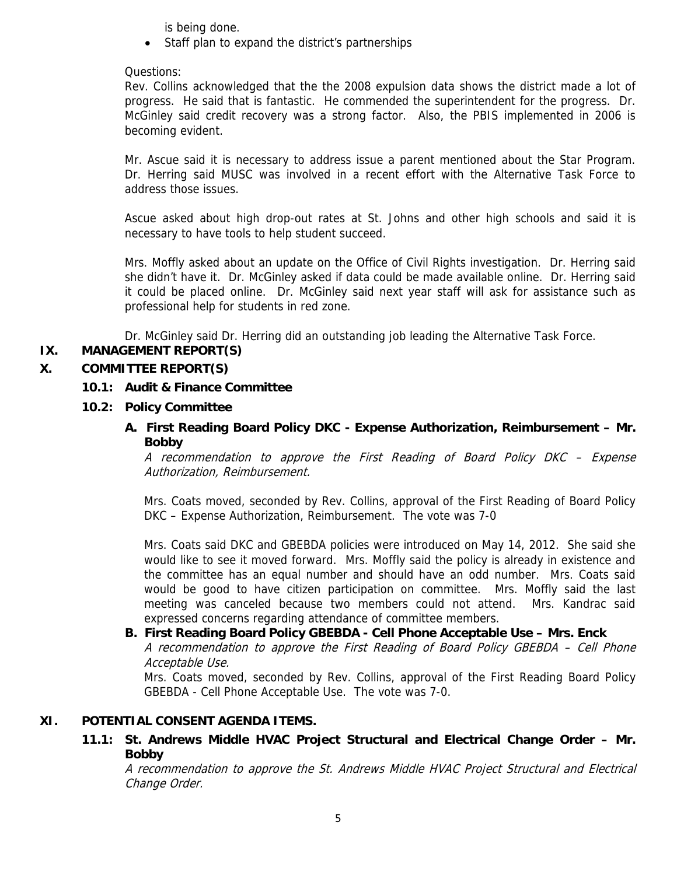is being done.

• Staff plan to expand the district's partnerships

#### Questions:

Rev. Collins acknowledged that the the 2008 expulsion data shows the district made a lot of progress. He said that is fantastic. He commended the superintendent for the progress. Dr. McGinley said credit recovery was a strong factor. Also, the PBIS implemented in 2006 is becoming evident.

Mr. Ascue said it is necessary to address issue a parent mentioned about the Star Program. Dr. Herring said MUSC was involved in a recent effort with the Alternative Task Force to address those issues.

Ascue asked about high drop-out rates at St. Johns and other high schools and said it is necessary to have tools to help student succeed.

Mrs. Moffly asked about an update on the Office of Civil Rights investigation. Dr. Herring said she didn't have it. Dr. McGinley asked if data could be made available online. Dr. Herring said it could be placed online. Dr. McGinley said next year staff will ask for assistance such as professional help for students in red zone.

Dr. McGinley said Dr. Herring did an outstanding job leading the Alternative Task Force.

### **IX. MANAGEMENT REPORT(S)**

#### **X. COMMITTEE REPORT(S)**

#### **10.1: Audit & Finance Committee**

#### **10.2: Policy Committee**

 **A. First Reading Board Policy DKC - Expense Authorization, Reimbursement – Mr. Bobby**

A recommendation to approve the First Reading of Board Policy DKC – Expense Authorization, Reimbursement.

Mrs. Coats moved, seconded by Rev. Collins, approval of the First Reading of Board Policy DKC – Expense Authorization, Reimbursement. The vote was 7-0

Mrs. Coats said DKC and GBEBDA policies were introduced on May 14, 2012. She said she would like to see it moved forward. Mrs. Moffly said the policy is already in existence and the committee has an equal number and should have an odd number. Mrs. Coats said would be good to have citizen participation on committee. Mrs. Moffly said the last meeting was canceled because two members could not attend. Mrs. Kandrac said expressed concerns regarding attendance of committee members.

 **B. First Reading Board Policy GBEBDA - Cell Phone Acceptable Use – Mrs. Enck** A recommendation to approve the First Reading of Board Policy GBEBDA – Cell Phone Acceptable Use.

Mrs. Coats moved, seconded by Rev. Collins, approval of the First Reading Board Policy GBEBDA - Cell Phone Acceptable Use. The vote was 7-0.

#### **XI. POTENTIAL CONSENT AGENDA ITEMS.**

 **11.1: St. Andrews Middle HVAC Project Structural and Electrical Change Order – Mr. Bobby** 

A recommendation to approve the St. Andrews Middle HVAC Project Structural and Electrical Change Order.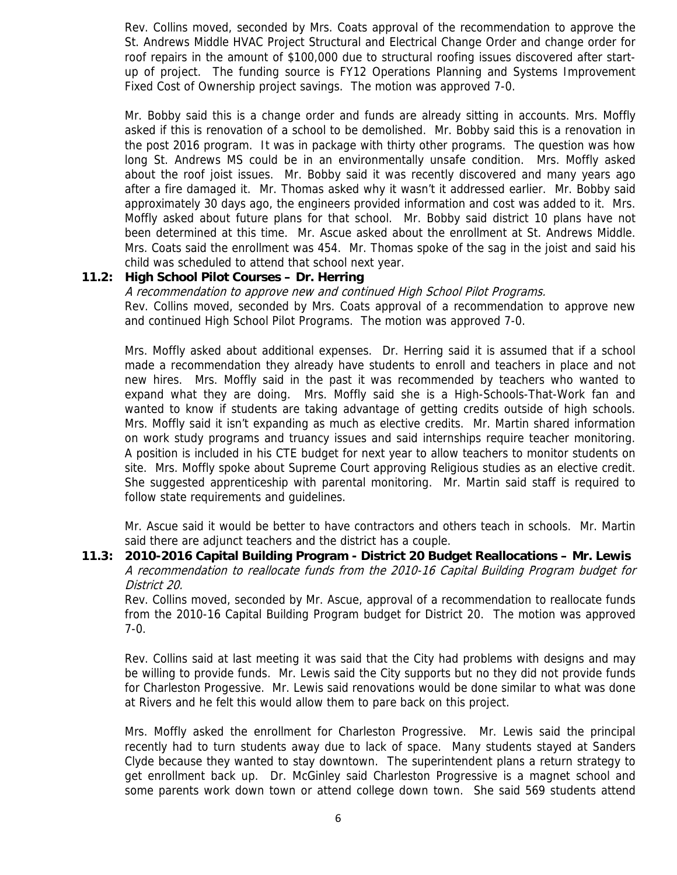Rev. Collins moved, seconded by Mrs. Coats approval of the recommendation to approve the St. Andrews Middle HVAC Project Structural and Electrical Change Order and change order for roof repairs in the amount of \$100,000 due to structural roofing issues discovered after startup of project. The funding source is FY12 Operations Planning and Systems Improvement Fixed Cost of Ownership project savings. The motion was approved 7-0.

Mr. Bobby said this is a change order and funds are already sitting in accounts. Mrs. Moffly asked if this is renovation of a school to be demolished. Mr. Bobby said this is a renovation in the post 2016 program. It was in package with thirty other programs. The question was how long St. Andrews MS could be in an environmentally unsafe condition. Mrs. Moffly asked about the roof joist issues. Mr. Bobby said it was recently discovered and many years ago after a fire damaged it. Mr. Thomas asked why it wasn't it addressed earlier. Mr. Bobby said approximately 30 days ago, the engineers provided information and cost was added to it. Mrs. Moffly asked about future plans for that school. Mr. Bobby said district 10 plans have not been determined at this time. Mr. Ascue asked about the enrollment at St. Andrews Middle. Mrs. Coats said the enrollment was 454. Mr. Thomas spoke of the sag in the joist and said his child was scheduled to attend that school next year.

#### **11.2: High School Pilot Courses – Dr. Herring**

A recommendation to approve new and continued High School Pilot Programs. Rev. Collins moved, seconded by Mrs. Coats approval of a recommendation to approve new and continued High School Pilot Programs. The motion was approved 7-0.

Mrs. Moffly asked about additional expenses. Dr. Herring said it is assumed that if a school made a recommendation they already have students to enroll and teachers in place and not new hires. Mrs. Moffly said in the past it was recommended by teachers who wanted to expand what they are doing. Mrs. Moffly said she is a High-Schools-That-Work fan and wanted to know if students are taking advantage of getting credits outside of high schools. Mrs. Moffly said it isn't expanding as much as elective credits. Mr. Martin shared information on work study programs and truancy issues and said internships require teacher monitoring. A position is included in his CTE budget for next year to allow teachers to monitor students on site. Mrs. Moffly spoke about Supreme Court approving Religious studies as an elective credit. She suggested apprenticeship with parental monitoring. Mr. Martin said staff is required to follow state requirements and guidelines.

Mr. Ascue said it would be better to have contractors and others teach in schools. Mr. Martin said there are adjunct teachers and the district has a couple.

 **11.3: 2010-2016 Capital Building Program - District 20 Budget Reallocations – Mr. Lewis** A recommendation to reallocate funds from the 2010-16 Capital Building Program budget for District 20.

Rev. Collins moved, seconded by Mr. Ascue, approval of a recommendation to reallocate funds from the 2010-16 Capital Building Program budget for District 20. The motion was approved 7-0.

Rev. Collins said at last meeting it was said that the City had problems with designs and may be willing to provide funds. Mr. Lewis said the City supports but no they did not provide funds for Charleston Progessive. Mr. Lewis said renovations would be done similar to what was done at Rivers and he felt this would allow them to pare back on this project.

Mrs. Moffly asked the enrollment for Charleston Progressive. Mr. Lewis said the principal recently had to turn students away due to lack of space. Many students stayed at Sanders Clyde because they wanted to stay downtown. The superintendent plans a return strategy to get enrollment back up. Dr. McGinley said Charleston Progressive is a magnet school and some parents work down town or attend college down town. She said 569 students attend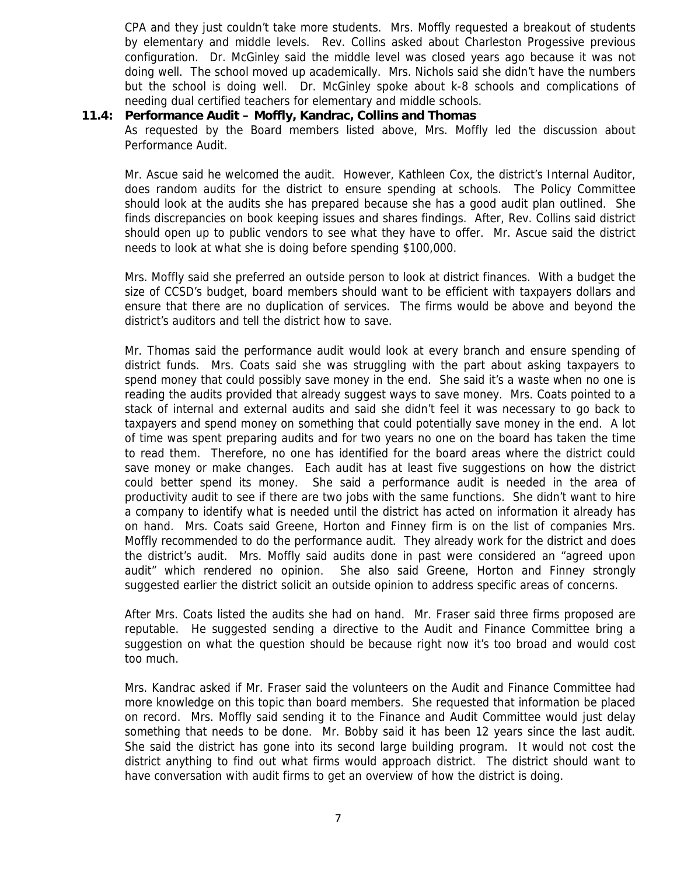CPA and they just couldn't take more students. Mrs. Moffly requested a breakout of students by elementary and middle levels. Rev. Collins asked about Charleston Progessive previous configuration. Dr. McGinley said the middle level was closed years ago because it was not doing well. The school moved up academically. Mrs. Nichols said she didn't have the numbers but the school is doing well. Dr. McGinley spoke about k-8 schools and complications of needing dual certified teachers for elementary and middle schools.

#### **11.4: Performance Audit – Moffly, Kandrac, Collins and Thomas**

As requested by the Board members listed above, Mrs. Moffly led the discussion about Performance Audit.

Mr. Ascue said he welcomed the audit. However, Kathleen Cox, the district's Internal Auditor, does random audits for the district to ensure spending at schools. The Policy Committee should look at the audits she has prepared because she has a good audit plan outlined. She finds discrepancies on book keeping issues and shares findings. After, Rev. Collins said district should open up to public vendors to see what they have to offer. Mr. Ascue said the district needs to look at what she is doing before spending \$100,000.

Mrs. Moffly said she preferred an outside person to look at district finances. With a budget the size of CCSD's budget, board members should want to be efficient with taxpayers dollars and ensure that there are no duplication of services. The firms would be above and beyond the district's auditors and tell the district how to save.

Mr. Thomas said the performance audit would look at every branch and ensure spending of district funds. Mrs. Coats said she was struggling with the part about asking taxpayers to spend money that could possibly save money in the end. She said it's a waste when no one is reading the audits provided that already suggest ways to save money. Mrs. Coats pointed to a stack of internal and external audits and said she didn't feel it was necessary to go back to taxpayers and spend money on something that could potentially save money in the end. A lot of time was spent preparing audits and for two years no one on the board has taken the time to read them. Therefore, no one has identified for the board areas where the district could save money or make changes. Each audit has at least five suggestions on how the district could better spend its money. She said a performance audit is needed in the area of productivity audit to see if there are two jobs with the same functions. She didn't want to hire a company to identify what is needed until the district has acted on information it already has on hand. Mrs. Coats said Greene, Horton and Finney firm is on the list of companies Mrs. Moffly recommended to do the performance audit. They already work for the district and does the district's audit. Mrs. Moffly said audits done in past were considered an "agreed upon audit" which rendered no opinion. She also said Greene, Horton and Finney strongly suggested earlier the district solicit an outside opinion to address specific areas of concerns.

After Mrs. Coats listed the audits she had on hand. Mr. Fraser said three firms proposed are reputable. He suggested sending a directive to the Audit and Finance Committee bring a suggestion on what the question should be because right now it's too broad and would cost too much.

Mrs. Kandrac asked if Mr. Fraser said the volunteers on the Audit and Finance Committee had more knowledge on this topic than board members. She requested that information be placed on record. Mrs. Moffly said sending it to the Finance and Audit Committee would just delay something that needs to be done. Mr. Bobby said it has been 12 years since the last audit. She said the district has gone into its second large building program. It would not cost the district anything to find out what firms would approach district. The district should want to have conversation with audit firms to get an overview of how the district is doing.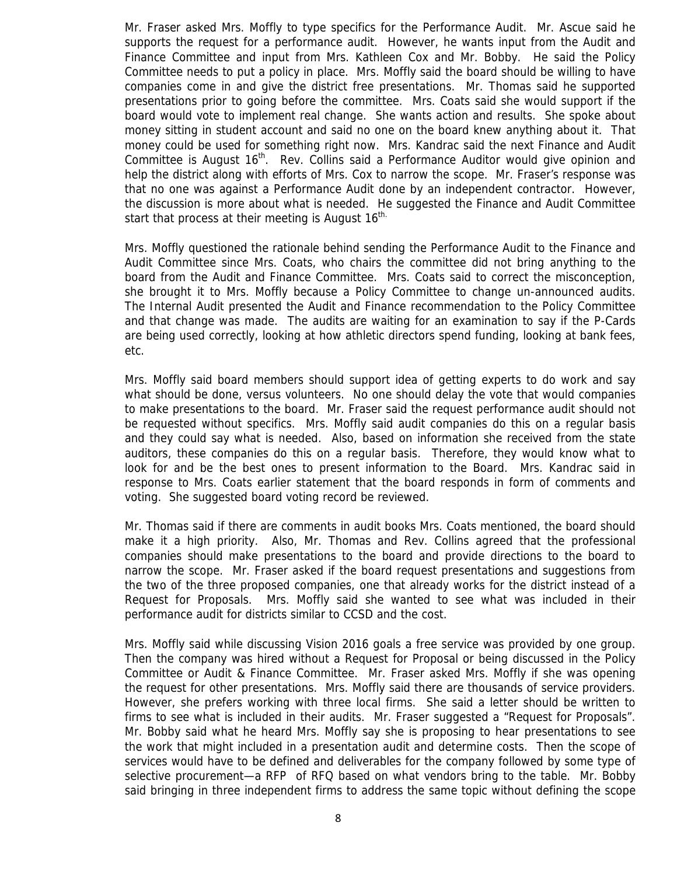Mr. Fraser asked Mrs. Moffly to type specifics for the Performance Audit. Mr. Ascue said he supports the request for a performance audit. However, he wants input from the Audit and Finance Committee and input from Mrs. Kathleen Cox and Mr. Bobby. He said the Policy Committee needs to put a policy in place. Mrs. Moffly said the board should be willing to have companies come in and give the district free presentations. Mr. Thomas said he supported presentations prior to going before the committee. Mrs. Coats said she would support if the board would vote to implement real change. She wants action and results. She spoke about money sitting in student account and said no one on the board knew anything about it. That money could be used for something right now. Mrs. Kandrac said the next Finance and Audit Committee is August 16<sup>th</sup>. Rev. Collins said a Performance Auditor would give opinion and help the district along with efforts of Mrs. Cox to narrow the scope. Mr. Fraser's response was that no one was against a Performance Audit done by an independent contractor. However, the discussion is more about what is needed. He suggested the Finance and Audit Committee start that process at their meeting is August  $16<sup>th</sup>$ .

Mrs. Moffly questioned the rationale behind sending the Performance Audit to the Finance and Audit Committee since Mrs. Coats, who chairs the committee did not bring anything to the board from the Audit and Finance Committee. Mrs. Coats said to correct the misconception, she brought it to Mrs. Moffly because a Policy Committee to change un-announced audits. The Internal Audit presented the Audit and Finance recommendation to the Policy Committee and that change was made. The audits are waiting for an examination to say if the P-Cards are being used correctly, looking at how athletic directors spend funding, looking at bank fees, etc.

Mrs. Moffly said board members should support idea of getting experts to do work and say what should be done, versus volunteers. No one should delay the vote that would companies to make presentations to the board. Mr. Fraser said the request performance audit should not be requested without specifics. Mrs. Moffly said audit companies do this on a regular basis and they could say what is needed. Also, based on information she received from the state auditors, these companies do this on a regular basis. Therefore, they would know what to look for and be the best ones to present information to the Board. Mrs. Kandrac said in response to Mrs. Coats earlier statement that the board responds in form of comments and voting. She suggested board voting record be reviewed.

Mr. Thomas said if there are comments in audit books Mrs. Coats mentioned, the board should make it a high priority. Also, Mr. Thomas and Rev. Collins agreed that the professional companies should make presentations to the board and provide directions to the board to narrow the scope. Mr. Fraser asked if the board request presentations and suggestions from the two of the three proposed companies, one that already works for the district instead of a Request for Proposals. Mrs. Moffly said she wanted to see what was included in their performance audit for districts similar to CCSD and the cost.

Mrs. Moffly said while discussing Vision 2016 goals a free service was provided by one group. Then the company was hired without a Request for Proposal or being discussed in the Policy Committee or Audit & Finance Committee. Mr. Fraser asked Mrs. Moffly if she was opening the request for other presentations. Mrs. Moffly said there are thousands of service providers. However, she prefers working with three local firms. She said a letter should be written to firms to see what is included in their audits. Mr. Fraser suggested a "Request for Proposals". Mr. Bobby said what he heard Mrs. Moffly say she is proposing to hear presentations to see the work that might included in a presentation audit and determine costs. Then the scope of services would have to be defined and deliverables for the company followed by some type of selective procurement—a RFP of RFQ based on what vendors bring to the table. Mr. Bobby said bringing in three independent firms to address the same topic without defining the scope